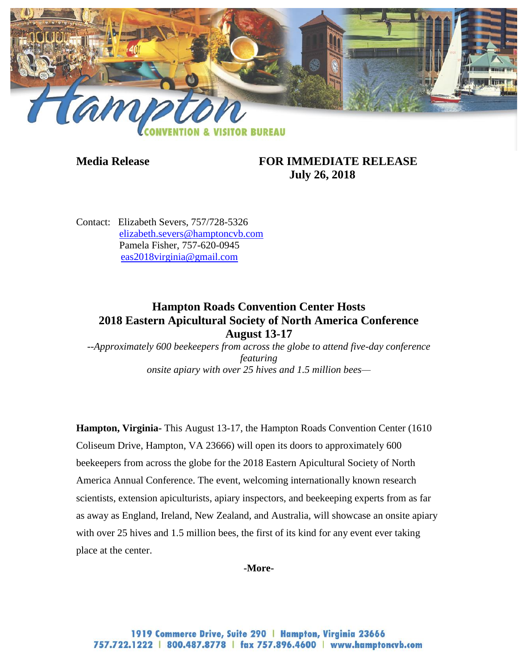

## **Media Release FOR IMMEDIATE RELEASE July 26, 2018**

Contact: Elizabeth Severs, 757/728-5326 [elizabeth.severs@hamptoncvb.com](mailto:elizabeth.severs@hamptoncvb.com) Pamela Fisher, 757-620-0945 [eas2018virginia@gmail.com](mailto:eas2018virginia@gmail.com)

## **Hampton Roads Convention Center Hosts 2018 Eastern Apicultural Society of North America Conference August 13-17**

*--Approximately 600 beekeepers from across the globe to attend five-day conference featuring onsite apiary with over 25 hives and 1.5 million bees—*

**Hampton, Virginia-** This August 13-17, the Hampton Roads Convention Center (1610 Coliseum Drive, Hampton, VA 23666) will open its doors to approximately 600 beekeepers from across the globe for the 2018 Eastern Apicultural Society of North America Annual Conference. The event, welcoming internationally known research scientists, extension apiculturists, apiary inspectors, and beekeeping experts from as far as away as England, Ireland, New Zealand, and Australia, will showcase an onsite apiary with over 25 hives and 1.5 million bees, the first of its kind for any event ever taking place at the center.

#### **-More-**

1919 Commerce Drive, Suite 290 | Hampton, Virginia 23666 757.722.1222 | 800.487.8778 | fax 757.896.4600 | www.hamptoncvb.com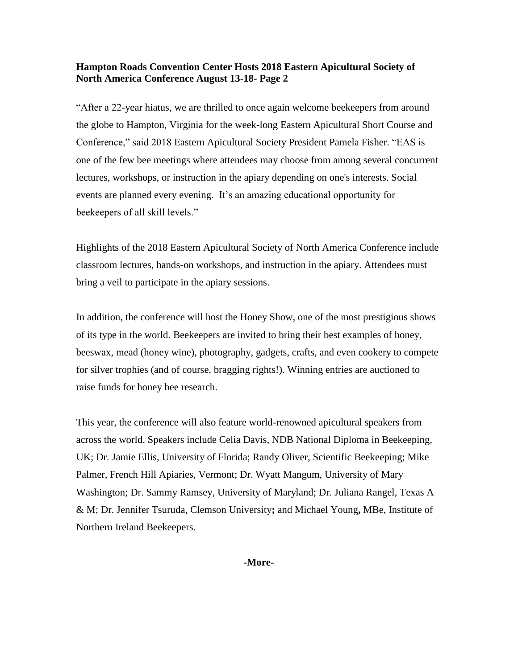#### **Hampton Roads Convention Center Hosts 2018 Eastern Apicultural Society of North America Conference August 13-18- Page 2**

"After a 22-year hiatus, we are thrilled to once again welcome beekeepers from around the globe to Hampton, Virginia for the week-long Eastern Apicultural Short Course and Conference," said 2018 Eastern Apicultural Society President Pamela Fisher. "EAS is one of the few bee meetings where attendees may choose from among several concurrent lectures, workshops, or instruction in the apiary depending on one's interests. Social events are planned every evening. It's an amazing educational opportunity for beekeepers of all skill levels."

Highlights of the 2018 Eastern Apicultural Society of North America Conference include classroom lectures, hands-on workshops, and instruction in the apiary. Attendees must bring a veil to participate in the apiary sessions.

In addition, the conference will host the Honey Show, one of the most prestigious shows of its type in the world. Beekeepers are invited to bring their best examples of honey, beeswax, mead (honey wine), photography, gadgets, crafts, and even cookery to compete for silver trophies (and of course, bragging rights!). Winning entries are auctioned to raise funds for honey bee research.

This year, the conference will also feature world-renowned apicultural speakers from across the world. Speakers include Celia Davis, NDB [National Diploma in Beekeeping,](https://national-diploma-beekeeping.org/front-page/ndb-biographies/#Celia-Davis)  [UK;](https://national-diploma-beekeeping.org/front-page/ndb-biographies/#Celia-Davis) Dr. Jamie Ellis, [University of Florida;](http://entnemdept.ufl.edu/people-directory/jamie-ellis/) Randy Oliver, [Scientific Beekeeping;](http://scientificbeekeeping.com/) Mike Palmer, [French Hill Apiaries, Vermont;](http://twolittleladiesapiary.com/cms/node/30) Dr. Wyatt Mangum, University of Mary Washington; Dr. Sammy Ramsey, [University of Maryland;](http://www.vanengelsdorpbeelab.com/samuel-ramsey.html) Dr. Juliana Rangel, [Texas A](https://entomology.tamu.edu/people/rangel-juliana/)  [& M;](https://entomology.tamu.edu/people/rangel-juliana/) Dr. Jennifer Tsuruda, [Clemson University](http://glimpse.clemson.edu/tidy-bees-are-healthy-bees/)**;** and Michael Young**,** MBe, [Institute of](http://live.ezezine.com/ezine/archives/1636/1636-2009.01.05.23.05.archive.html)  [Northern Ireland Beekeepers.](http://live.ezezine.com/ezine/archives/1636/1636-2009.01.05.23.05.archive.html)

**-More-**